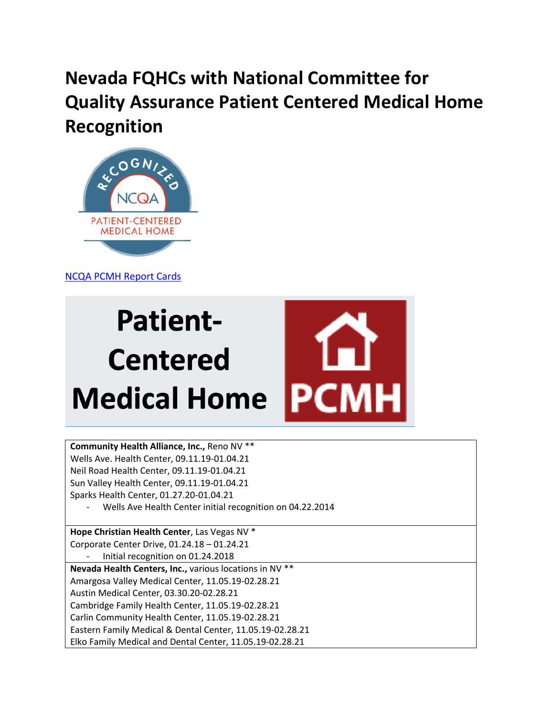## **Nevada FQHCs with National Committee for Quality Assurance Patient Centered Medical Home Recognition**



[NCQA PCMH Report Cards](https://reportcards.ncqa.org/#/practices/list?state=Nevada&recognition=Patient-Centered%20Medical%20Home&dist=1)

## **Patient-Centered PCI Medical Home**

**Community Health Alliance, Inc.,** Reno NV \*\* Wells Ave. Health Center, 09.11.19-01.04.21 Neil Road Health Center, 09.11.19-01.04.21 Sun Valley Health Center, 09.11.19-01.04.21 Sparks Health Center, 01.27.20-01.04.21

Wells Ave Health Center initial recognition on 04.22.2014

**Hope Christian Health Center**, Las Vegas NV \* Corporate Center Drive, 01.24.18 – 01.24.21 - Initial recognition on 01.24.2018 **Nevada Health Centers, Inc.,** various locations in NV \*\* Amargosa Valley Medical Center, 11.05.19-02.28.21 Austin Medical Center, 03.30.20-02.28.21 Cambridge Family Health Center, 11.05.19-02.28.21 Carlin Community Health Center, 11.05.19-02.28.21 Eastern Family Medical & Dental Center, 11.05.19-02.28.21 Elko Family Medical and Dental Center, 11.05.19-02.28.21